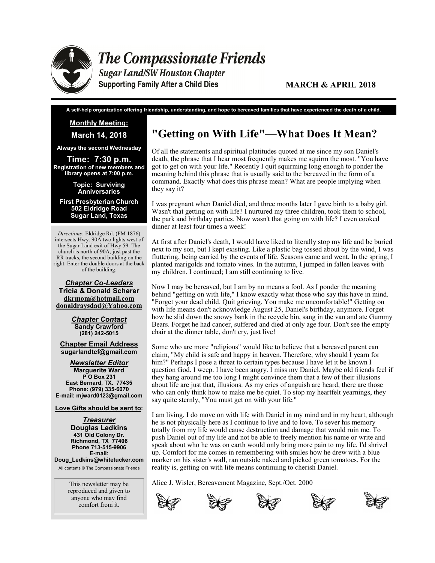

**The Compassionate Friends** 

**Sugar Land/SW Houston Chapter Supporting Family After a Child Dies** 

**A self-help organization offering friendship, understanding, and hope to bereaved families that have experienced the death of a child.**

#### **Monthly Meeting:**

**March 14, 2018**

**Always the second Wednesday**

**Time: 7:30 p.m. Registration of new members and library opens at 7:00 p.m.** 

> **Topic: Surviving Anniversaries**

**First Presbyterian Church 502 Eldridge Road Sugar Land, Texas**

*Directions:* Eldridge Rd. (FM 1876) intersects Hwy. 90A two lights west of the Sugar Land exit of Hwy 59. The church is north of 90A, just past the RR tracks, the second building on the right. Enter the double doors at the back of the building.

*Chapter Co-Leaders* **Tricia & Donald Scherer dkrmom@hotmail.com donaldraysdad@Yahoo.com**

> *Chapter Contact* **Sandy Crawford (281) 242-5015**

**Chapter Email Address sugarlandtcf@gmail.com**

*Newsletter Editor* **Marguerite Ward P O Box 231 East Bernard, TX. 77435 Phone: (979) 335-6070 E-mail: mjward0123@gmail.com**

**Love Gifts should be sent to:**

*Treasurer* **Douglas Ledkins 431 Old Colony Dr. Richmond, TX 77406 Phone 713-515-9906 E-mail:** 

**Doug\_Ledkins@whitetucker.com** All contents © The Compassionate Friends

> This newsletter may be reproduced and given to anyone who may find comfort from it.

# **"Getting on With Life"—What Does It Mean?**

Of all the statements and spiritual platitudes quoted at me since my son Daniel's death, the phrase that I hear most frequently makes me squirm the most. "You have got to get on with your life." Recently I quit squirming long enough to ponder the meaning behind this phrase that is usually said to the bereaved in the form of a command. Exactly what does this phrase mean? What are people implying when they say it?

I was pregnant when Daniel died, and three months later I gave birth to a baby girl. Wasn't that getting on with life? I nurtured my three children, took them to school, the park and birthday parties. Now wasn't that going on with life? I even cooked dinner at least four times a week!

At first after Daniel's death, I would have liked to literally stop my life and be buried next to my son, but I kept existing. Like a plastic bag tossed about by the wind, I was fluttering, being carried by the events of life. Seasons came and went. In the spring, I planted marigolds and tomato vines. In the autumn, I jumped in fallen leaves with my children. I continued; I am still continuing to live.

Now I may be bereaved, but I am by no means a fool. As I ponder the meaning behind "getting on with life," I know exactly what those who say this have in mind. "Forget your dead child. Quit grieving. You make me uncomfortable!" Getting on with life means don't acknowledge August 25, Daniel's birthday, anymore. Forget how he slid down the snowy bank in the recycle bin, sang in the van and ate Gummy Bears. Forget he had cancer, suffered and died at only age four. Don't see the empty chair at the dinner table, don't cry, just live!

Some who are more "religious" would like to believe that a bereaved parent can claim, "My child is safe and happy in heaven. Therefore, why should I yearn for him?" Perhaps I pose a threat to certain types because I have let it be known I question God. I weep. I have been angry. I miss my Daniel. Maybe old friends feel if they hang around me too long I might convince them that a few of their illusions about life are just that, illusions. As my cries of anguish are heard, there are those who can only think how to make me be quiet. To stop my heartfelt yearnings, they say quite sternly, "You must get on with your life."

I am living. I do move on with life with Daniel in my mind and in my heart, although he is not physically here as I continue to live and to love. To sever his memory totally from my life would cause destruction and damage that would ruin me. To push Daniel out of my life and not be able to freely mention his name or write and speak about who he was on earth would only bring more pain to my life. I'd shrivel up. Comfort for me comes in remembering with smiles how he drew with a blue marker on his sister's wall, ran outside naked and picked green tomatoes. For the reality is, getting on with life means continuing to cherish Daniel.

Alice J. Wisler, Bereavement Magazine, Sept./Oct. 2000





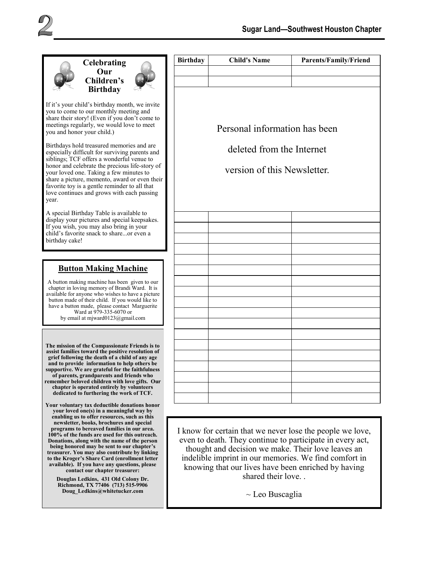



If it's your child's birthday month, we invite you to come to our monthly meeting and share their story! (Even if you don't come to meetings regularly, we would love to meet you and honor your child.)

Birthdays hold treasured memories and are especially difficult for surviving parents and siblings; TCF offers a wonderful venue to honor and celebrate the precious life-story of your loved one. Taking a few minutes to share a picture, memento, award or even their favorite toy is a gentle reminder to all that love continues and grows with each passing year.

A special Birthday Table is available to display your pictures and special keepsakes. If you wish, you may also bring in your child's favorite snack to share...or even a birthday cake!

# **Button Making Machine**

A button making machine has been given to our chapter in loving memory of Brandi Ward. It is available for anyone who wishes to have a picture button made of their child. If you would like to have a button made, please contact Marguerite Ward at 979-335-6070 or by email at mjward0123@gmail.com

**The mission of the Compassionate Friends is to assist families toward the positive resolution of grief following the death of a child of any age and to provide information to help others be supportive. We are grateful for the faithfulness of parents, grandparents and friends who remember beloved children with love gifts. Our chapter is operated entirely by volunteers dedicated to furthering the work of TCF.** 

**Your voluntary tax deductible donations honor your loved one(s) in a meaningful way by enabling us to offer resources, such as this newsletter, books, brochures and special programs to bereaved families in our area. 100% of the funds are used for this outreach. Donations, along with the name of the person being honored may be sent to our chapter's treasurer. You may also contribute by linking to the Kroger's Share Card (enrollment letter available). If you have any questions, please contact our chapter treasurer:** 

**Douglas Ledkins, 431 Old Colony Dr. Richmond, TX 77406 (713) 515-9906 Doug\_Ledkins@whitetucker.com**

| Personal information has been |  |  |  |  |  |
|-------------------------------|--|--|--|--|--|
| deleted from the Internet     |  |  |  |  |  |
|                               |  |  |  |  |  |
| version of this Newsletter.   |  |  |  |  |  |
|                               |  |  |  |  |  |
|                               |  |  |  |  |  |
|                               |  |  |  |  |  |
|                               |  |  |  |  |  |
|                               |  |  |  |  |  |
|                               |  |  |  |  |  |
|                               |  |  |  |  |  |
|                               |  |  |  |  |  |
|                               |  |  |  |  |  |
|                               |  |  |  |  |  |
|                               |  |  |  |  |  |
|                               |  |  |  |  |  |
|                               |  |  |  |  |  |
|                               |  |  |  |  |  |
|                               |  |  |  |  |  |
|                               |  |  |  |  |  |
|                               |  |  |  |  |  |
|                               |  |  |  |  |  |
|                               |  |  |  |  |  |

I know for certain that we never lose the people we love, even to death. They continue to participate in every act, thought and decision we make. Their love leaves an indelible imprint in our memories. We find comfort in knowing that our lives have been enriched by having shared their love. .

 $\sim$  Leo Buscaglia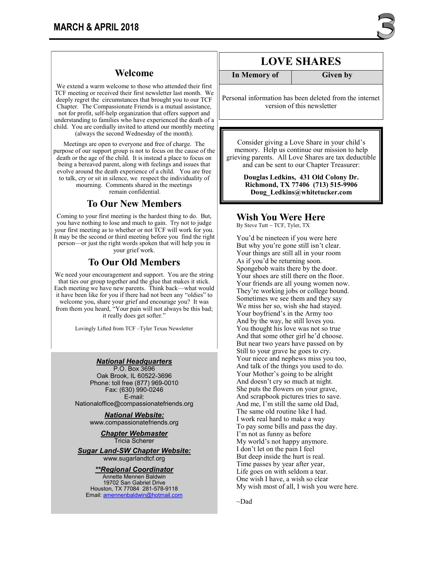We extend a warm welcome to those who attended their first TCF meeting or received their first newsletter last month. We deeply regret the circumstances that brought you to our TCF Chapter. The Compassionate Friends is a mutual assistance, not for profit, self-help organization that offers support and understanding to families who have experienced the death of a child. You are cordially invited to attend our monthly meeting (always the second Wednesday of the month).

Meetings are open to everyone and free of charge. The purpose of our support group is not to focus on the cause of the death or the age of the child. It is instead a place to focus on being a bereaved parent, along with feelings and issues that evolve around the death experience of a child. You are free to talk, cry or sit in silence, we respect the individuality of mourning. Comments shared in the meetings remain confidential.

### **To Our New Members**

Coming to your first meeting is the hardest thing to do. But, you have nothing to lose and much to gain. Try not to judge your first meeting as to whether or not TCF will work for you. It may be the second or third meeting before you find the right person—or just the right words spoken that will help you in your grief work.

### **To Our Old Members**

We need your encouragement and support. You are the string that ties our group together and the glue that makes it stick. Each meeting we have new parents. Think back—what would it have been like for you if there had not been any "oldies" to welcome you, share your grief and encourage you? It was from them you heard, "Your pain will not always be this bad; it really does get softer."

Lovingly Lifted from TCF –Tyler Texas Newsletter

#### *National Headquarters*

P.O. Box 3696 Oak Brook, IL 60522-3696 Phone: toll free (877) 969-0010 Fax: (630) 990-0246 E-mail: Nationaloffice@compassionatefriends.org

*National Website:*  www.compassionatefriends.org

> *Chapter Webmaster* Tricia Scherer

*Sugar Land-SW Chapter Website:* www.sugarlandtcf.org

*\*\*Regional Coordinator*

Annette Mennen Baldwin 19702 San Gabriel Drive Houston, TX 77084 281-578-9118 Email: [amennenbaldwin@hotmail.com](mailto:Emaamennenbaldwin@hotmail.com)

# **LOVE SHARES**

**In Memory of Given by** 

Personal information has been deleted from the internet version of this newsletter

Consider giving a Love Share in your child's memory. Help us continue our mission to help grieving parents. All Love Shares are tax deductible and can be sent to our Chapter Treasurer:

> **Douglas Ledkins, 431 Old Colony Dr. Richmond, TX 77406 (713) 515-9906 Doug\_Ledkins@whitetucker.com**

### **Wish You Were Here**

By Steve Tutt ~ TCF, Tyler, TX

You'd be nineteen if you were here But why you're gone still isn't clear. Your things are still all in your room As if you'd be returning soon. Spongebob waits there by the door. Your shoes are still there on the floor. Your friends are all young women now. They're working jobs or college bound. Sometimes we see them and they say We miss her so, wish she had stayed. Your boyfriend's in the Army too And by the way, he still loves you. You thought his love was not so true And that some other girl he'd choose. But near two years have passed on by Still to your grave he goes to cry. Your niece and nephews miss you too, And talk of the things you used to do. Your Mother's going to be alright And doesn't cry so much at night. She puts the flowers on your grave, And scrapbook pictures tries to save. And me, I'm still the same old Dad, The same old routine like I had. I work real hard to make a way To pay some bills and pass the day. I'm not as funny as before My world's not happy anymore. I don't let on the pain I feel But deep inside the hurt is real. Time passes by year after year, Life goes on with seldom a tear. One wish I have, a wish so clear My wish most of all, I wish you were here.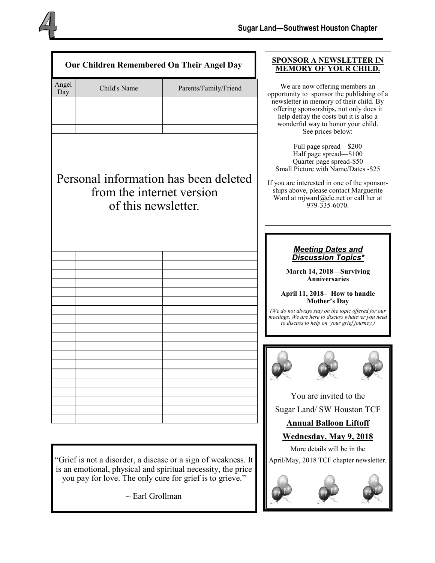| Our Children Remembered On Their Angel Day |                                                                                           |                                                                                                                                                                                                                                                                         | <b>SPONSOR A NEWSLETTER IN</b><br><b>MEMORY OF YOUR CHILD.</b>                                                                                                                                                                                                          |
|--------------------------------------------|-------------------------------------------------------------------------------------------|-------------------------------------------------------------------------------------------------------------------------------------------------------------------------------------------------------------------------------------------------------------------------|-------------------------------------------------------------------------------------------------------------------------------------------------------------------------------------------------------------------------------------------------------------------------|
| Angel<br>Day                               | Child's Name                                                                              | Parents/Family/Friend                                                                                                                                                                                                                                                   | We are now offering members an<br>opportunity to sponsor the publishing of a<br>newsletter in memory of their child. By<br>offering sponsorships, not only does it<br>help defray the costs but it is also a<br>wonderful way to honor your child.<br>See prices below: |
|                                            | Personal information has been deleted<br>from the internet version<br>of this newsletter. | Full page spread-\$200<br>Half page spread-\$100<br>Quarter page spread-\$50<br>Small Picture with Name/Dates -\$25<br>If you are interested in one of the sponsor-<br>ships above, please contact Marguerite<br>Ward at mjward@elc.net or call her at<br>979-335-6070. |                                                                                                                                                                                                                                                                         |
|                                            |                                                                                           |                                                                                                                                                                                                                                                                         | <b>Meeting Dates and</b><br><b>Discussion Topics*</b>                                                                                                                                                                                                                   |
|                                            |                                                                                           |                                                                                                                                                                                                                                                                         | March 14, 2018-Surviving<br><b>Anniversaries</b>                                                                                                                                                                                                                        |
|                                            |                                                                                           |                                                                                                                                                                                                                                                                         | April 11, 2018 – How to handle<br><b>Mother's Day</b><br>(We do not always stay on the topic offered for our                                                                                                                                                            |
|                                            |                                                                                           |                                                                                                                                                                                                                                                                         | meetings. We are here to discuss whatever you need<br>to discuss to help on your grief journey.)                                                                                                                                                                        |
|                                            |                                                                                           |                                                                                                                                                                                                                                                                         |                                                                                                                                                                                                                                                                         |
|                                            |                                                                                           |                                                                                                                                                                                                                                                                         | You are invited to the                                                                                                                                                                                                                                                  |
|                                            |                                                                                           |                                                                                                                                                                                                                                                                         | Sugar Land/ SW Houston TCF                                                                                                                                                                                                                                              |
|                                            |                                                                                           |                                                                                                                                                                                                                                                                         | <b>Annual Balloon Liftoff</b>                                                                                                                                                                                                                                           |
|                                            |                                                                                           | <b>Wednesday, May 9, 2018</b>                                                                                                                                                                                                                                           |                                                                                                                                                                                                                                                                         |
|                                            | "Grief is not a disorder, a disease or a sign of weakness. It                             | More details will be in the<br>April/May, 2018 TCF chapter newsletter.                                                                                                                                                                                                  |                                                                                                                                                                                                                                                                         |
|                                            | is an emotional, physical and spiritual necessity, the price                              |                                                                                                                                                                                                                                                                         |                                                                                                                                                                                                                                                                         |

 $\sim$  Earl Grollman

you pay for love. The only cure for grief is to grieve."

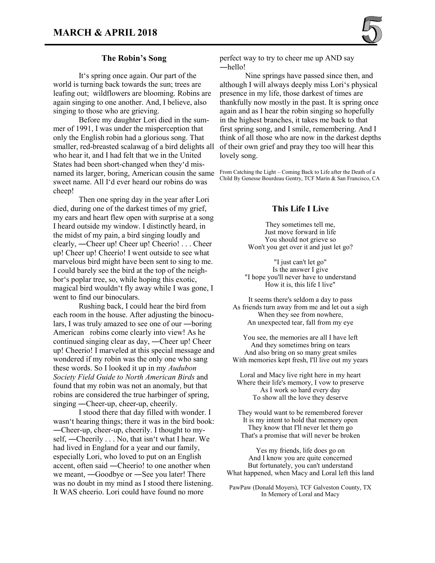

#### **The Robin's Song**

It's spring once again. Our part of the world is turning back towards the sun; trees are leafing out; wildflowers are blooming. Robins are again singing to one another. And, I believe, also singing to those who are grieving.

Before my daughter Lori died in the summer of 1991, I was under the misperception that only the English robin had a glorious song. That smaller, red-breasted scalawag of a bird delights all who hear it, and I had felt that we in the United States had been short-changed when they'd misnamed its larger, boring, American cousin the same sweet name. All I'd ever heard our robins do was cheep!

Then one spring day in the year after Lori died, during one of the darkest times of my grief, my ears and heart flew open with surprise at a song I heard outside my window. I distinctly heard, in the midst of my pain, a bird singing loudly and clearly, ―Cheer up! Cheer up! Cheerio! . . . Cheer up! Cheer up! Cheerio! I went outside to see what marvelous bird might have been sent to sing to me. I could barely see the bird at the top of the neighbor's poplar tree, so, while hoping this exotic, magical bird wouldn't fly away while I was gone, I went to find our binoculars.

Rushing back, I could hear the bird from each room in the house. After adjusting the binoculars, I was truly amazed to see one of our ―boring American robins come clearly into view! As he continued singing clear as day, ―Cheer up! Cheer up! Cheerio! I marveled at this special message and wondered if my robin was the only one who sang these words. So I looked it up in my *Audubon Society Field Guide to North American Birds* and found that my robin was not an anomaly, but that robins are considered the true harbinger of spring, singing ―Cheer-up, cheer-up, cheerily.

I stood there that day filled with wonder. I wasn't hearing things; there it was in the bird book: ―Cheer-up, cheer-up, cheerily. I thought to myself, ―Cheerily . . . No, that isn't what I hear. We had lived in England for a year and our family, especially Lori, who loved to put on an English accent, often said ―Cheerio! to one another when we meant, ―Goodbye or ―See you later! There was no doubt in my mind as I stood there listening. It WAS cheerio. Lori could have found no more

perfect way to try to cheer me up AND say ―hello!

Nine springs have passed since then, and although I will always deeply miss Lori's physical presence in my life, those darkest of times are thankfully now mostly in the past. It is spring once again and as I hear the robin singing so hopefully in the highest branches, it takes me back to that first spring song, and I smile, remembering. And I think of all those who are now in the darkest depths of their own grief and pray they too will hear this lovely song.

From Catching the Light – Coming Back to Life after the Death of a Child By Genesse Bourdeau Gentry, TCF Marin & San Francisco, CA

#### **This Life I Live**

They sometimes tell me, Just move forward in life You should not grieve so Won't you get over it and just let go?

"I just can't let go" Is the answer I give "I hope you'll never have to understand How it is, this life I live"

It seems there's seldom a day to pass As friends turn away from me and let out a sigh When they see from nowhere, An unexpected tear, fall from my eye

You see, the memories are all I have left And they sometimes bring on tears And also bring on so many great smiles With memories kept fresh, I'll live out my years

Loral and Macy live right here in my heart Where their life's memory, I vow to preserve As I work so hard every day To show all the love they deserve

They would want to be remembered forever It is my intent to hold that memory open They know that I'll never let them go That's a promise that will never be broken

Yes my friends, life does go on And I know you are quite concerned But fortunately, you can't understand What happened, when Macy and Loral left this land

PawPaw (Donald Moyers), TCF Galveston County, TX In Memory of Loral and Macy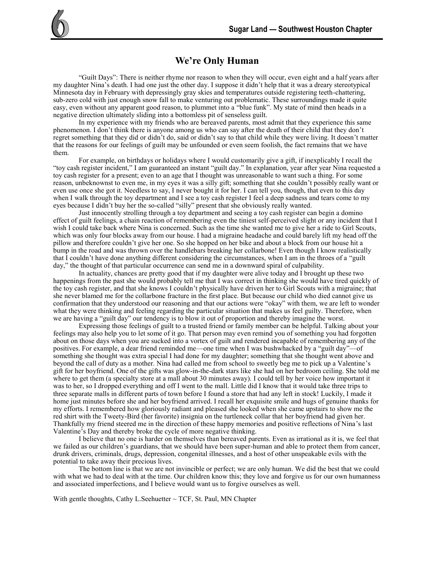# **We're Only Human**

"Guilt Days": There is neither rhyme nor reason to when they will occur, even eight and a half years after my daughter Nina's death. I had one just the other day. I suppose it didn't help that it was a dreary stereotypical Minnesota day in February with depressingly gray skies and temperatures outside registering teeth-chattering, sub-zero cold with just enough snow fall to make venturing out problematic. These surroundings made it quite easy, even without any apparent good reason, to plummet into a "blue funk". My state of mind then heads in a negative direction ultimately sliding into a bottomless pit of senseless guilt.

In my experience with my friends who are bereaved parents, most admit that they experience this same phenomenon. I don't think there is anyone among us who can say after the death of their child that they don't regret something that they did or didn't do, said or didn't say to that child while they were living. It doesn't matter that the reasons for our feelings of guilt may be unfounded or even seem foolish, the fact remains that we have them.

For example, on birthdays or holidays where I would customarily give a gift, if inexplicably I recall the "toy cash register incident," I am guaranteed an instant "guilt day." In explanation, year after year Nina requested a toy cash register for a present; even to an age that I thought was unreasonable to want such a thing. For some reason, unbeknownst to even me, in my eyes it was a silly gift; something that she couldn't possibly really want or even use once she got it. Needless to say, I never bought it for her. I can tell you, though, that even to this day when I walk through the toy department and I see a toy cash register I feel a deep sadness and tears come to my eyes because I didn't buy her the so-called "silly" present that she obviously really wanted.

Just innocently strolling through a toy department and seeing a toy cash register can begin a domino effect of guilt feelings, a chain reaction of remembering even the tiniest self-perceived slight or any incident that I wish I could take back where Nina is concerned. Such as the time she wanted me to give her a ride to Girl Scouts, which was only four blocks away from our house. I had a migraine headache and could barely lift my head off the pillow and therefore couldn't give her one. So she hopped on her bike and about a block from our house hit a bump in the road and was thrown over the handlebars breaking her collarbone! Even though I know realistically that I couldn't have done anything different considering the circumstances, when I am in the throes of a "guilt day," the thought of that particular occurrence can send me in a downward spiral of culpability.

In actuality, chances are pretty good that if my daughter were alive today and I brought up these two happenings from the past she would probably tell me that I was correct in thinking she would have tired quickly of the toy cash register, and that she knows I couldn't physically have driven her to Girl Scouts with a migraine; that she never blamed me for the collarbone fracture in the first place. But because our child who died cannot give us confirmation that they understood our reasoning and that our actions were "okay" with them, we are left to wonder what they were thinking and feeling regarding the particular situation that makes us feel guilty. Therefore, when we are having a "guilt day" our tendency is to blow it out of proportion and thereby imagine the worst.

Expressing those feelings of guilt to a trusted friend or family member can be helpful. Talking about your feelings may also help you to let some of it go. That person may even remind you of something you had forgotten about on those days when you are sucked into a vortex of guilt and rendered incapable of remembering any of the positives. For example, a dear friend reminded me—one time when I was bushwhacked by a "guilt day"—of something she thought was extra special I had done for my daughter; something that she thought went above and beyond the call of duty as a mother. Nina had called me from school to sweetly beg me to pick up a Valentine's gift for her boyfriend. One of the gifts was glow-in-the-dark stars like she had on her bedroom ceiling. She told me where to get them (a specialty store at a mall about 30 minutes away). I could tell by her voice how important it was to her, so I dropped everything and off I went to the mall. Little did I know that it would take three trips to three separate malls in different parts of town before I found a store that had any left in stock! Luckily, I made it home just minutes before she and her boyfriend arrived. I recall her exquisite smile and hugs of genuine thanks for my efforts. I remembered how gloriously radiant and pleased she looked when she came upstairs to show me the red shirt with the Tweety-Bird (her favorite) insignia on the turtleneck collar that her boyfriend had given her. Thankfully my friend steered me in the direction of these happy memories and positive reflections of Nina's last Valentine's Day and thereby broke the cycle of more negative thinking.

I believe that no one is harder on themselves than bereaved parents. Even as irrational as it is, we feel that we failed as our children's guardians, that we should have been super-human and able to protect them from cancer, drunk drivers, criminals, drugs, depression, congenital illnesses, and a host of other unspeakable evils with the potential to take away their precious lives.

The bottom line is that we are not invincible or perfect; we are only human. We did the best that we could with what we had to deal with at the time. Our children know this; they love and forgive us for our own humanness and associated imperfections, and I believe would want us to forgive ourselves as well.

With gentle thoughts, Cathy L. Seehuetter  $\sim$  TCF, St. Paul, MN Chapter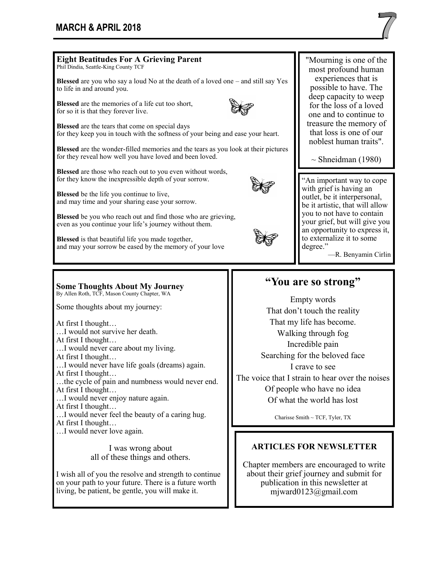# **MARCH & APRIL 2018**

At first I thought…

At first I thought…

…I would never love again.

…I would never feel the beauty of a caring hug.

I was wrong about all of these things and others.

I wish all of you the resolve and strength to continue on your path to your future. There is a future worth living, be patient, be gentle, you will make it.



experiences that is possible to have. The

 $\sim$  Shneidman (1980)

—R. Benyamin Cirlin

#### **Eight Beatitudes For A Grieving Parent**  Phil Dindia, Seattle-King County TCF **Blessed** are you who say a loud No at the death of a loved one – and still say Yes to life in and around you. **Blessed** are the memories of a life cut too short, for so it is that they forever live. **Blessed** are the tears that come on special days for they keep you in touch with the softness of your being and ease your heart. **Blessed** are the wonder-filled memories and the tears as you look at their pictures for they reveal how well you have loved and been loved. **Blessed** are those who reach out to you even without words, for they know the inexpressible depth of your sorrow. **Blessed** be the life you continue to live, and may time and your sharing ease your sorrow. **Blessed** be you who reach out and find those who are grieving, even as you continue your life's journey without them. **Blessed** is that beautiful life you made together, and may your sorrow be eased by the memory of your love "Mourning is one of the most profound human deep capacity to weep for the loss of a loved one and to continue to treasure the memory of that loss is one of our noblest human traits". **Some Thoughts About My Journey**  By Allen Roth, TCF, Mason County Chapter, WA Some thoughts about my journey: At first I thought… …I would not survive her death. At first I thought… …I would never care about my living. At first I thought… …I would never have life goals (dreams) again. At first I thought… …the cycle of pain and numbness would never end. At first I thought… …I would never enjoy nature again. "An important way to cope with grief is having an outlet, be it interpersonal, be it artistic, that will allow you to not have to contain your grief, but will give you an opportunity to express it, to externalize it to some degree." **"You are so strong"**  Empty words That don't touch the reality That my life has become. Walking through fog Incredible pain Searching for the beloved face I crave to see The voice that I strain to hear over the noises Of people who have no idea Of what the world has lost

Charisse Smith ~ TCF, Tyler, TX

### **ARTICLES FOR NEWSLETTER**

Chapter members are encouraged to write about their grief journey and submit for publication in this newsletter at mjward0123@gmail.com